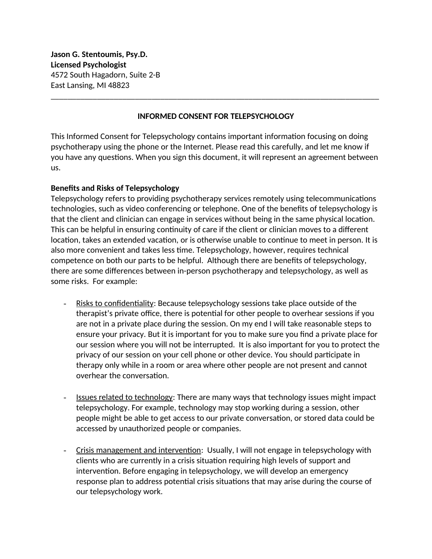**Jason G. Stentoumis, Psy.D. Licensed Psychologist** 4572 South Hagadorn, Suite 2-B East Lansing, MI 48823

# **INFORMED CONSENT FOR TELEPSYCHOLOGY**

\_\_\_\_\_\_\_\_\_\_\_\_\_\_\_\_\_\_\_\_\_\_\_\_\_\_\_\_\_\_\_\_\_\_\_\_\_\_\_\_\_\_\_\_\_\_\_\_\_\_\_\_\_\_\_\_\_\_\_\_\_\_\_\_\_\_\_\_\_\_\_\_\_\_\_\_\_\_

This Informed Consent for Telepsychology contains important information focusing on doing psychotherapy using the phone or the Internet. Please read this carefully, and let me know if you have any questions. When you sign this document, it will represent an agreement between us.

# **Benefits and Risks of Telepsychology**

Telepsychology refers to providing psychotherapy services remotely using telecommunications technologies, such as video conferencing or telephone. One of the benefits of telepsychology is that the client and clinician can engage in services without being in the same physical location. This can be helpful in ensuring continuity of care if the client or clinician moves to a different location, takes an extended vacation, or is otherwise unable to continue to meet in person. It is also more convenient and takes less time. Telepsychology, however, requires technical competence on both our parts to be helpful. Although there are benefits of telepsychology, there are some differences between in-person psychotherapy and telepsychology, as well as some risks. For example:

- Risks to confidentiality: Because telepsychology sessions take place outside of the therapist's private office, there is potential for other people to overhear sessions if you are not in a private place during the session. On my end I will take reasonable steps to ensure your privacy. But it is important for you to make sure you find a private place for our session where you will not be interrupted. It is also important for you to protect the privacy of our session on your cell phone or other device. You should participate in therapy only while in a room or area where other people are not present and cannot overhear the conversation.
- Issues related to technology: There are many ways that technology issues might impact telepsychology. For example, technology may stop working during a session, other people might be able to get access to our private conversation, or stored data could be accessed by unauthorized people or companies.
- Crisis management and intervention: Usually, I will not engage in telepsychology with clients who are currently in a crisis situation requiring high levels of support and intervention. Before engaging in telepsychology, we will develop an emergency response plan to address potential crisis situations that may arise during the course of our telepsychology work.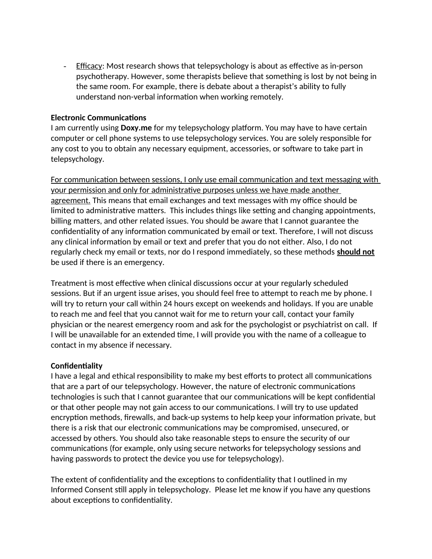- Efficacy: Most research shows that telepsychology is about as effective as in-person psychotherapy. However, some therapists believe that something is lost by not being in the same room. For example, there is debate about a therapist's ability to fully understand non-verbal information when working remotely.

### **Electronic Communications**

I am currently using **Doxy.me** for my telepsychology platform. You may have to have certain computer or cell phone systems to use telepsychology services. You are solely responsible for any cost to you to obtain any necessary equipment, accessories, or software to take part in telepsychology.

For communication between sessions, I only use email communication and text messaging with your permission and only for administrative purposes unless we have made another agreement. This means that email exchanges and text messages with my office should be limited to administrative matters. This includes things like setting and changing appointments, billing matters, and other related issues. You should be aware that I cannot guarantee the confidentiality of any information communicated by email or text. Therefore, I will not discuss any clinical information by email or text and prefer that you do not either. Also, I do not regularly check my email or texts, nor do I respond immediately, so these methods **should not** be used if there is an emergency.

Treatment is most effective when clinical discussions occur at your regularly scheduled sessions. But if an urgent issue arises, you should feel free to attempt to reach me by phone. I will try to return your call within 24 hours except on weekends and holidays. If you are unable to reach me and feel that you cannot wait for me to return your call, contact your family physician or the nearest emergency room and ask for the psychologist or psychiatrist on call. If I will be unavailable for an extended time, I will provide you with the name of a colleague to contact in my absence if necessary.

### **Confidentiality**

I have a legal and ethical responsibility to make my best efforts to protect all communications that are a part of our telepsychology. However, the nature of electronic communications technologies is such that I cannot guarantee that our communications will be kept confidential or that other people may not gain access to our communications. I will try to use updated encryption methods, firewalls, and back-up systems to help keep your information private, but there is a risk that our electronic communications may be compromised, unsecured, or accessed by others. You should also take reasonable steps to ensure the security of our communications (for example, only using secure networks for telepsychology sessions and having passwords to protect the device you use for telepsychology).

The extent of confidentiality and the exceptions to confidentiality that I outlined in my Informed Consent still apply in telepsychology. Please let me know if you have any questions about exceptions to confidentiality.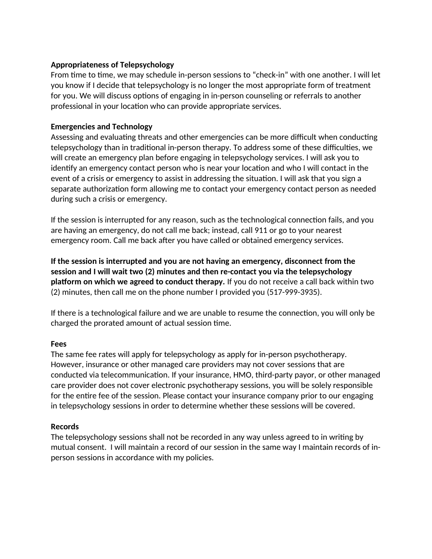### **Appropriateness of Telepsychology**

From time to time, we may schedule in-person sessions to "check-in" with one another. I will let you know if I decide that telepsychology is no longer the most appropriate form of treatment for you. We will discuss options of engaging in in-person counseling or referrals to another professional in your location who can provide appropriate services.

## **Emergencies and Technology**

Assessing and evaluating threats and other emergencies can be more difficult when conducting telepsychology than in traditional in-person therapy. To address some of these difficulties, we will create an emergency plan before engaging in telepsychology services. I will ask you to identify an emergency contact person who is near your location and who I will contact in the event of a crisis or emergency to assist in addressing the situation. I will ask that you sign a separate authorization form allowing me to contact your emergency contact person as needed during such a crisis or emergency.

If the session is interrupted for any reason, such as the technological connection fails, and you are having an emergency, do not call me back; instead, call 911 or go to your nearest emergency room. Call me back after you have called or obtained emergency services.

**If the session is interrupted and you are not having an emergency, disconnect from the session and I will wait two (2) minutes and then re-contact you via the telepsychology platform on which we agreed to conduct therapy.** If you do not receive a call back within two (2) minutes, then call me on the phone number I provided you (517-999-3935).

If there is a technological failure and we are unable to resume the connection, you will only be charged the prorated amount of actual session time.

### **Fees**

The same fee rates will apply for telepsychology as apply for in-person psychotherapy. However, insurance or other managed care providers may not cover sessions that are conducted via telecommunication. If your insurance, HMO, third-party payor, or other managed care provider does not cover electronic psychotherapy sessions, you will be solely responsible for the entire fee of the session. Please contact your insurance company prior to our engaging in telepsychology sessions in order to determine whether these sessions will be covered.

### **Records**

The telepsychology sessions shall not be recorded in any way unless agreed to in writing by mutual consent. I will maintain a record of our session in the same way I maintain records of inperson sessions in accordance with my policies.